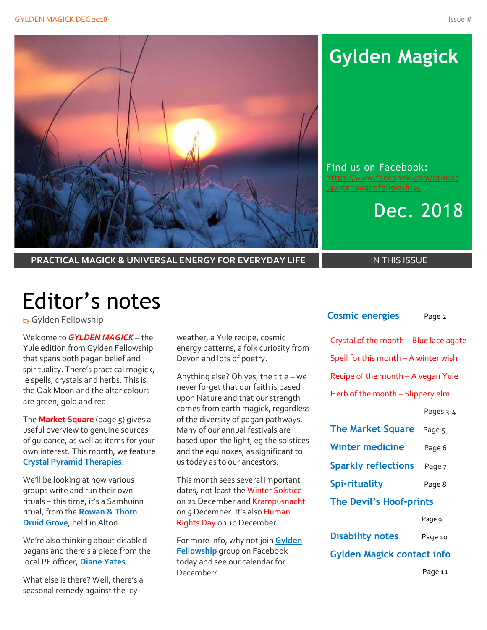

# **Gylden Magick**

Find us on Facebook: [https://www.facebook.com/groups](https://www.facebook.com/groups/gyldenpaganfellowship/)

Dec. 2018

**PRACTICAL MAGICK & UNIVERSAL ENERGY FOR EVERYDAY LIFE IN THIS ISSUE** 

# Editor's notes

by Gylden Fellowship

Welcome to *GYLDEN MAGICK* – the Yule edition from Gylden Fellowship that spans both pagan belief and spirituality. There's practical magick, ie spells, crystals and herbs. This is the Oak Moon and the altar colours are green, gold and red.

The **Market Square** (page 5) gives a useful overview to genuine sources of guidance, as well as items for your own interest. This month, we feature **Crystal Pyramid Therapies**.

We'll be looking at how various groups write and run their own rituals – this time, it's a Samhuinn ritual, from the **Rowan & Thorn Druid Grove**, held in Alton.

We're also thinking about disabled pagans and there's a piece from the local PF officer, **Diane Yates**.

What else is there? Well, there's a seasonal remedy against the icy

weather, a Yule recipe, cosmic energy patterns, a folk curiosity from Devon and lots of poetry.

Anything else? Oh yes, the title – we never forget that our faith is based upon Nature and that our strength comes from earth magick, regardless of the diversity of pagan pathways. Many of our annual festivals are based upon the light, eg the solstices and the equinoxes, as significant to us today as to our ancestors.

This month sees several important dates, not least the Winter Solstice on 21 December and Krampusnacht on 5 December. It's also Human Rights Day on 10 December.

For more info, why not join **Gylden Fellowship** group on Facebook today and see our calendar for December?

| <b>Cosmic energies</b>                 | Page 2    |
|----------------------------------------|-----------|
| Crystal of the month - Blue lace agate |           |
| Spell for this month - A winter wish   |           |
| Recipe of the month - A vegan Yule     |           |
| Herb of the month - Slippery elm       |           |
|                                        | Pages 3-4 |
| <b>The Market Square</b> Page 5        |           |
| Winter medicine                        | Page 6    |
| <b>Sparkly reflections</b>             | Page 7    |
| <b>Spi-rituality</b>                   | Page 8    |
| The Devil's Hoof-prints                |           |
|                                        | Page 9    |
| <b>Disability notes</b>                | Page 10   |
| <b>Gylden Magick contact info</b>      |           |
|                                        | Page 11   |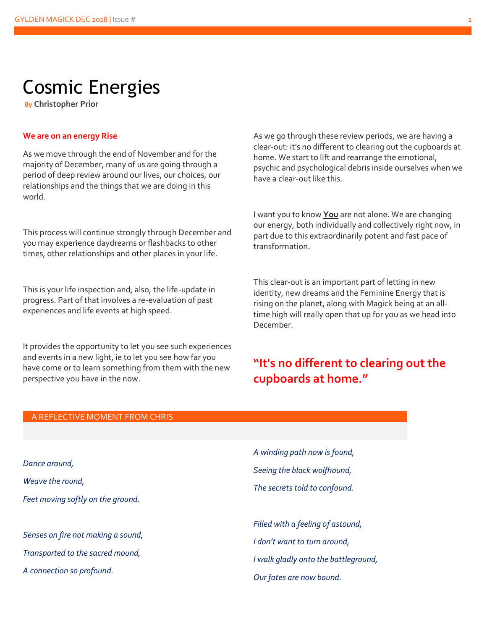## Cosmic Energies

**By Christopher Prior**

#### **We are on an energy Rise**

As we move through the end of November and for the majority of December, many of us are going through a period of deep review around our lives, our choices, our relationships and the things that we are doing in this world.

This process will continue strongly through December and you may experience daydreams or flashbacks to other times, other relationships and other places in your life.

This is your life inspection and, also, the life-update in progress. Part of that involves a re-evaluation of past experiences and life events at high speed.

It provides the opportunity to let you see such experiences and events in a new light, ie to let you see how far you have come or to learn something from them with the new perspective you have in the now.

As we go through these review periods, we are having a clear-out: it's no different to clearing out the cupboards at home. We start to lift and rearrange the emotional, psychic and psychological debris inside ourselves when we have a clear-out like this.

I want you to know **You** are not alone. We are changing our energy, both individually and collectively right now, in part due to this extraordinarily potent and fast pace of transformation.

This clear-out is an important part of letting in new identity, new dreams and the Feminine Energy that is rising on the planet, along with Magick being at an alltime high will really open that up for you as we head into December.

#### **"It's no different to clearing out the cupboards at home."**

#### A REFLECTIVE MOMENT FROM CHRIS

*Dance around, Weave the round, Feet moving softly on the ground. Senses on fire not making a sound,*

*Transported to the sacred mound,*

*A connection so profound.*

*A winding path now is found, Seeing the black wolfhound, The secrets told to confound.*

*Filled with a feeling of astound, I don't want to turn around, I walk gladly onto the battleground, Our fates are now bound.*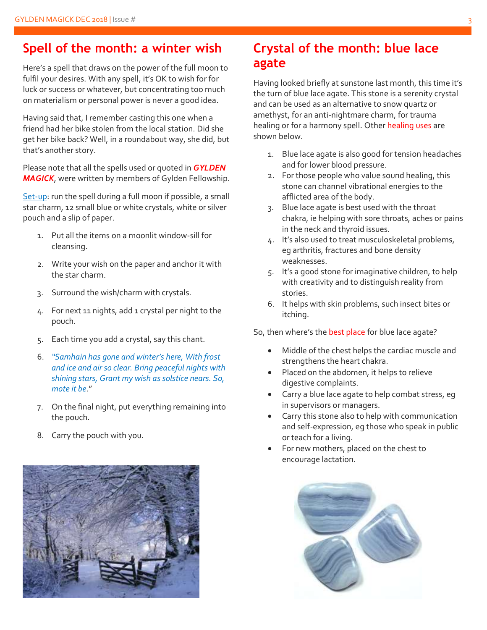### **Spell of the month: a winter wish**

Here's a spell that draws on the power of the full moon to fulfil your desires. With any spell, it's OK to wish for for luck or success or whatever, but concentrating too much on materialism or personal power is never a good idea.

Having said that, I remember casting this one when a friend had her bike stolen from the local station. Did she get her bike back? Well, in a roundabout way, she did, but that's another story.

Please note that all the spells used or quoted in *GYLDEN MAGICK*, were written by members of Gylden Fellowship.

Set-up: run the spell during a full moon if possible, a small star charm, 12 small blue or white crystals, white or silver pouch and a slip of paper.

- 1. Put all the items on a moonlit window-sill for cleansing.
- 2. Write your wish on the paper and anchor it with the star charm.
- 3. Surround the wish/charm with crystals.
- 4. For next 11 nights, add 1 crystal per night to the pouch.
- 5. Each time you add a crystal, say this chant.
- 6. *"Samhain has gone and winter's here, With frost and ice and air so clear. Bring peaceful nights with shining stars, Grant my wish as solstice nears. So, mote it be*."
- 7. On the final night, put everything remaining into the pouch.
- 8. Carry the pouch with you.



### **Crystal of the month: blue lace agate**

Having looked briefly at sunstone last month, this time it's the turn of blue lace agate. This stone is a serenity crystal and can be used as an alternative to snow quartz or amethyst, for an anti-nightmare charm, for trauma healing or for a harmony spell. Other healing uses are shown below.

- 1. Blue lace agate is also good for tension headaches and for lower blood pressure.
- 2. For those people who value sound healing, this stone can channel vibrational energies to the afflicted area of the body.
- 3. Blue lace agate is best used with the throat chakra, ie helping with sore throats, aches or pains in the neck and thyroid issues.
- 4. It's also used to treat musculoskeletal problems, eg arthritis, fractures and bone density weaknesses.
- 5. It's a good stone for imaginative children, to help with creativity and to distinguish reality from stories.
- 6. It helps with skin problems, such insect bites or itching.

So, then where's the best place for blue lace agate?

- Middle of the chest helps the cardiac muscle and strengthens the heart chakra.
- Placed on the abdomen, it helps to relieve digestive complaints.
- Carry a blue lace agate to help combat stress, eg in supervisors or managers.
- Carry this stone also to help with communication and self-expression, eg those who speak in public or teach for a living.
- For new mothers, placed on the chest to encourage lactation.

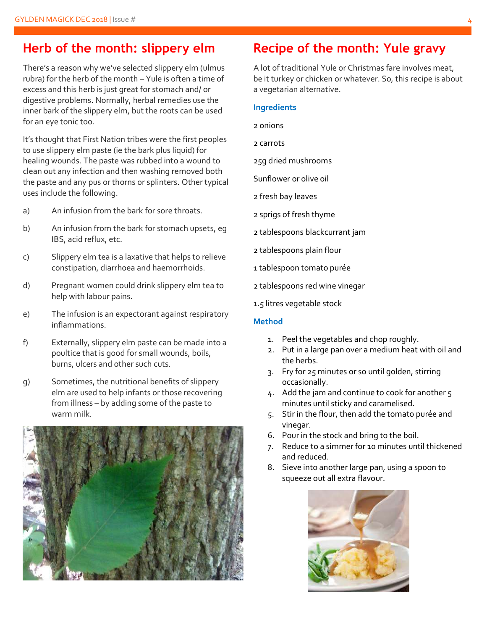#### **Herb of the month: slippery elm**

There's a reason why we've selected slippery elm (ulmus rubra) for the herb of the month – Yule is often a time of excess and this herb is just great for stomach and/ or digestive problems. Normally, herbal remedies use the inner bark of the slippery elm, but the roots can be used for an eye tonic too.

It's thought that First Nation tribes were the first peoples to use slippery elm paste (ie the bark plus liquid) for healing wounds. The paste was rubbed into a wound to clean out any infection and then washing removed both the paste and any pus or thorns or splinters. Other typical uses include the following.

- a) An infusion from the bark for sore throats.
- b) An infusion from the bark for stomach upsets, eg IBS, acid reflux, etc.
- c) Slippery elm tea is a laxative that helps to relieve constipation, diarrhoea and haemorrhoids.
- d) Pregnant women could drink slippery elm tea to help with labour pains.
- e) The infusion is an expectorant against respiratory inflammations.
- f) Externally, slippery elm paste can be made into a poultice that is good for small wounds, boils, burns, ulcers and other such cuts.
- g) Sometimes, the nutritional benefits of slippery elm are used to help infants or those recovering from illness – by adding some of the paste to warm milk.



### **Recipe of the month: Yule gravy**

A lot of traditional Yule or Christmas fare involves meat, be it turkey or chicken or whatever. So, this recipe is about a vegetarian alternative.

#### **Ingredients**

- 2 onions
- 2 carrots
- 25g dried mushrooms
- Sunflower or olive oil
- 2 fresh bay leaves
- 2 sprigs of fresh thyme
- 2 tablespoons blackcurrant jam
- 2 tablespoons plain flour
- 1 tablespoon tomato purée
- 2 tablespoons red wine vinegar
- 1.5 litres vegetable stock

#### **Method**

- 1. Peel the vegetables and chop roughly.
- 2. Put in a large pan over a medium heat with oil and the herbs.
- 3. Fry for 25 minutes or so until golden, stirring occasionally.
- 4. Add the jam and continue to cook for another 5 minutes until sticky and caramelised.
- 5. Stir in the flour, then add the tomato purée and vinegar.
- 6. Pour in the stock and bring to the boil.
- 7. Reduce to a simmer for 10 minutes until thickened and reduced.
- 8. Sieve into another large pan, using a spoon to squeeze out all extra flavour.

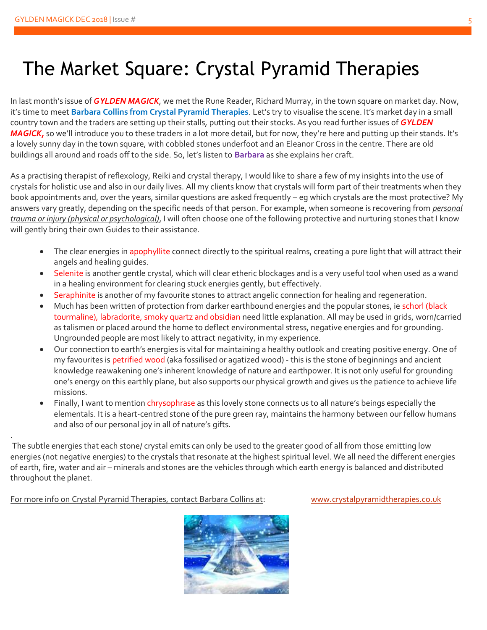## The Market Square: Crystal Pyramid Therapies

In last month's issue of *GYLDEN MAGICK*, we met the Rune Reader, Richard Murray, in the town square on market day. Now, it's time to meet **Barbara Collins from Crystal Pyramid Therapies**. Let's try to visualise the scene. It's market day in a small country town and the traders are setting up their stalls, putting out their stocks. As you read further issues of *GYLDEN MAGICK*, so we'll introduce you to these traders in a lot more detail, but for now, they're here and putting up their stands. It's a lovely sunny day in the town square, with cobbled stones underfoot and an Eleanor Cross in the centre. There are old buildings all around and roads off to the side. So, let's listen to **Barbara** as she explains her craft.

As a practising therapist of reflexology, Reiki and crystal therapy, I would like to share a few of my insights into the use of crystals for holistic use and also in our daily lives. All my clients know that crystals will form part of their treatments when they book appointments and, over the years, similar questions are asked frequently – eg which crystals are the most protective? My answers vary greatly, depending on the specific needs of that person. For example, when someone is recovering from *personal trauma or injury (physical or psychological)*, I will often choose one of the following protective and nurturing stones that I know will gently bring their own Guides to their assistance.

- The clear energies in apophyllite connect directly to the spiritual realms, creating a pure light that will attract their angels and healing guides.
- Selenite is another gentle crystal, which will clear etheric blockages and is a very useful tool when used as a wand in a healing environment for clearing stuck energies gently, but effectively.
- Seraphinite is another of my favourite stones to attract angelic connection for healing and regeneration.
- Much has been written of protection from darker earthbound energies and the popular stones, ie schorl (black tourmaline), labradorite, smoky quartz and obsidian need little explanation. All may be used in grids, worn/carried as talismen or placed around the home to deflect environmental stress, negative energies and for grounding. Ungrounded people are most likely to attract negativity, in my experience.
- Our connection to earth's energies is vital for maintaining a healthy outlook and creating positive energy. One of my favourites is petrified wood (aka fossilised or agatized wood) - this is the stone of beginnings and ancient knowledge reawakening one's inherent knowledge of nature and earthpower. It is not only useful for grounding one's energy on this earthly plane, but also supports our physical growth and gives us the patience to achieve life missions.
- Finally, I want to mention chrysophrase as this lovely stone connects us to all nature's beings especially the elementals. It is a heart-centred stone of the pure green ray, maintains the harmony between our fellow humans and also of our personal joy in all of nature's gifts.

The subtle energies that each stone/ crystal emits can only be used to the greater good of all from those emitting low energies (not negative energies) to the crystals that resonate at the highest spiritual level. We all need the different energies of earth, fire, water and air – minerals and stones are the vehicles through which earth energy is balanced and distributed throughout the planet.

#### For more info on Crystal Pyramid Therapies, contact Barbara Collins at: [www.crystalpyramidtherapies.co.uk](http://www.crystalpyramidtherapies.co.uk/)

.

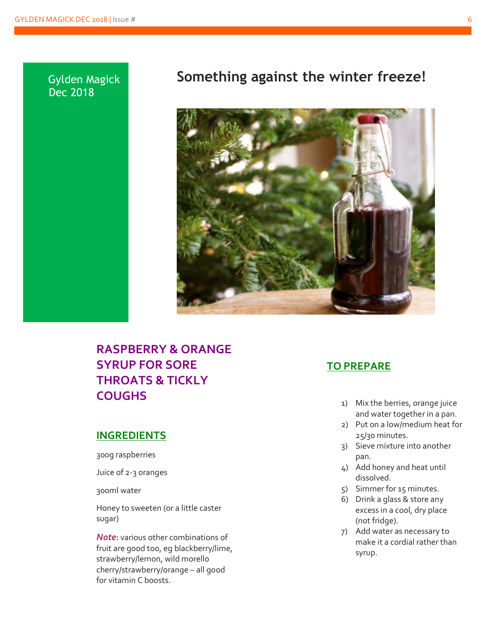#### Gylden Magick Dec 2018

### **Something against the winter freeze!**



#### **RASPBERRY & ORANGE SYRUP FOR SORE THROATS & TICKLY COUGHS**

#### **INGREDIENTS**

300g raspberries

Juice of 2-3 oranges

300ml water

Honey to sweeten (or a little caster sugar)

*Note***:** various other combinations of fruit are good too, eg blackberry/lime, strawberry/lemon, wild morello cherry/strawberry/orange – all good for vitamin C boosts.

#### **TO PREPARE**

- 1) Mix the berries, orange juice and water together in a pan.
- 2) Put on a low/medium heat for 25/30 minutes.
- 3) Sieve mixture into another pan.
- 4) Add honey and heat until dissolved.
- 5) Simmer for 15 minutes.
- 6) Drink a glass & store any excess in a cool, dry place (not fridge).
- 7) Add water as necessary to make it a cordial rather than syrup.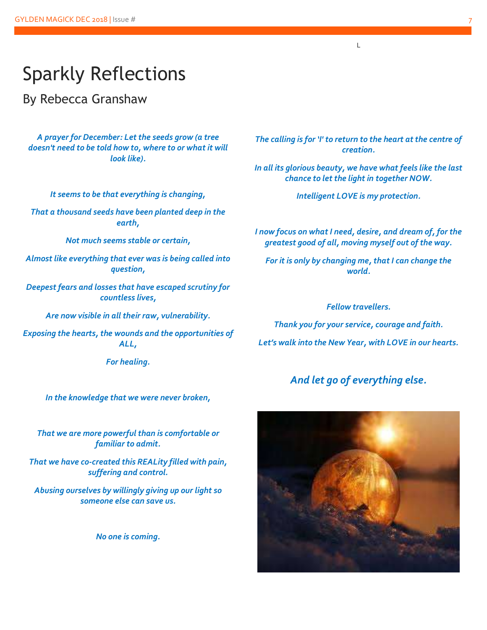## Sparkly Reflections

By Rebecca Granshaw

*A prayer for December: Let the seeds grow (a tree doesn't need to be told how to, where to or what it will look like).*

*It seems to be that everything is changing,*

*That a thousand seeds have been planted deep in the earth,*

*Not much seems stable or certain,*

*Almost like everything that ever was is being called into question,*

*Deepest fears and losses that have escaped scrutiny for countless lives,*

*Are now visible in all their raw, vulnerability.*

*Exposing the hearts, the wounds and the opportunities of ALL,*

*For healing.*

*In the knowledge that we were never broken,*

*That we are more powerful than is comfortable or familiar to admit.*

*That we have co-created this REALity filled with pain, suffering and control.*

*Abusing ourselves by willingly giving up our light so someone else can save us.*

*No one is coming.*

*The calling is for 'I' to return to the heart at the centre of creation.*

L

*In all its glorious beauty, we have what feels like the last chance to let the light in together NOW.*

*Intelligent LOVE is my protection.*

*I now focus on what I need, desire, and dream of, for the greatest good of all, moving myself out of the way.*

*For it is only by changing me, that I can change the world.*

*Fellow travellers.*

*Thank you for your service, courage and faith. Let's walk into the New Year, with LOVE in our hearts.*

#### *And let go of everything else.*

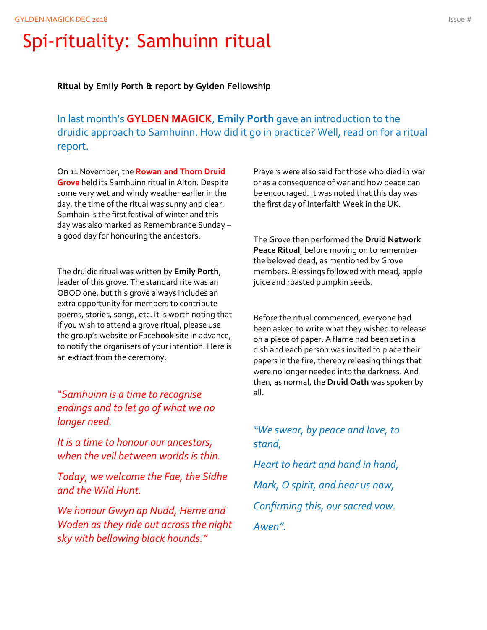# Spi-rituality: Samhuinn ritual

**Ritual by Emily Porth & report by Gylden Fellowship**

In last month's **GYLDEN MAGICK**, **Emily Porth** gave an introduction to the druidic approach to Samhuinn. How did it go in practice? Well, read on for a ritual report.

On 11 November, the **Rowan and Thorn Druid Grove** held its Samhuinn ritual in Alton. Despite some very wet and windy weather earlier in the day, the time of the ritual was sunny and clear. Samhain is the first festival of winter and this day was also marked as Remembrance Sunday – a good day for honouring the ancestors.

The druidic ritual was written by **Emily Porth**, leader of this grove. The standard rite was an OBOD one, but this grove always includes an extra opportunity for members to contribute poems, stories, songs, etc. It is worth noting that if you wish to attend a grove ritual, please use the group's website or Facebook site in advance, to notify the organisers of your intention. Here is an extract from the ceremony.

*"Samhuinn is a time to recognise endings and to let go of what we no longer need.*

*It is a time to honour our ancestors, when the veil between worlds is thin.*

*Today, we welcome the Fae, the Sidhe and the Wild Hunt.*

*We honour Gwyn ap Nudd, Herne and Woden as they ride out across the night sky with bellowing black hounds."*

Prayers were also said for those who died in war or as a consequence of war and how peace can be encouraged. It was noted that this day was the first day of Interfaith Week in the UK.

The Grove then performed the **Druid Network Peace Ritual**, before moving on to remember the beloved dead, as mentioned by Grove members. Blessings followed with mead, apple juice and roasted pumpkin seeds.

Before the ritual commenced, everyone had been asked to write what they wished to release on a piece of paper. A flame had been set in a dish and each person was invited to place their papers in the fire, thereby releasing things that were no longer needed into the darkness. And then, as normal, the **Druid Oath** was spoken by all.

*"We swear, by peace and love, to stand,*

*Heart to heart and hand in hand, Mark, O spirit, and hear us now, Confirming this, our sacred vow. Awen".*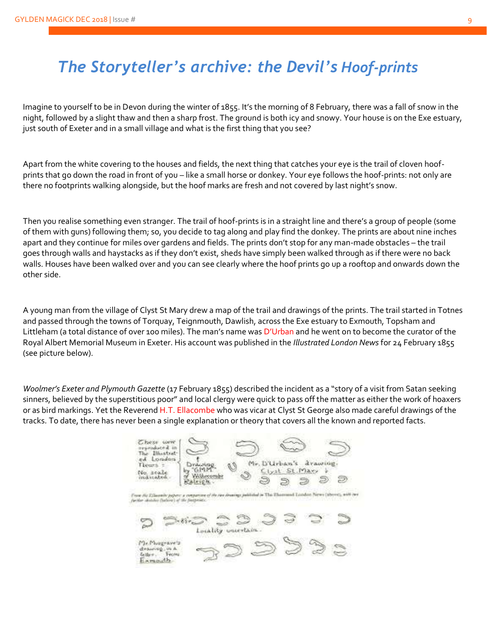### *The Storyteller's archive: the Devil's Hoof-prints*

Imagine to yourself to be in Devon during the winter of 1855. It's the morning of 8 February, there was a fall of snow in the night, followed by a slight thaw and then a sharp frost. The ground is both icy and snowy. Your house is on the Exe estuary, just south of Exeter and in a small village and what is the first thing that you see?

Apart from the white covering to the houses and fields, the next thing that catches your eye is the trail of cloven hoofprints that go down the road in front of you – like a small horse or donkey. Your eye follows the hoof-prints: not only are there no footprints walking alongside, but the hoof marks are fresh and not covered by last night's snow.

Then you realise something even stranger. The trail of hoof-prints is in a straight line and there's a group of people (some of them with guns) following them; so, you decide to tag along and play find the donkey. The prints are about nine inches apart and they continue for miles over gardens and fields. The prints don't stop for any man-made obstacles – the trail goes through walls and haystacks as if they don't exist, sheds have simply been walked through as if there were no back walls. Houses have been walked over and you can see clearly where the hoof prints go up a rooftop and onwards down the other side.

A young man from the village of Clyst St Mary drew a map of the trail and drawings of the prints. The trail started in Totnes and passed through the towns of Torquay, Teignmouth, Dawlish, across the Exe estuary to Exmouth, Topsham and Littleham (a total distance of over 100 miles). The man's name was D'Urban and he went on to become the curator of the Royal Albert Memorial Museum in Exeter. His account was published in the *Illustrated London News* for 24 February 1855 (see picture below).

*Woolmer's Exeter and Plymouth Gazette* (17 February 1855) described the incident as a "story of a visit from Satan seeking sinners, believed by the superstitious poor" and local clergy were quick to pass off the matter as either the work of hoaxers or as bird markings. Yet the Reverend H.T. Ellacombe who was vicar at Clyst St George also made careful drawings of the tracks. To date, there has never been a single explanation or theory that covers all the known and reported facts.

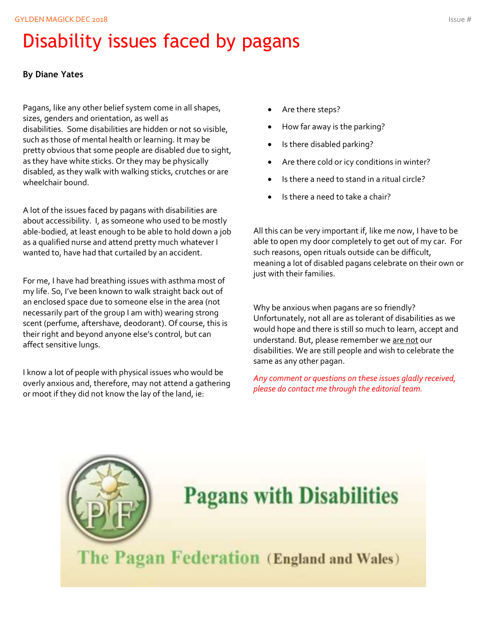# Disability issues faced by pagans

#### **By Diane Yates**

Pagans, like any other belief system come in all shapes, sizes, genders and orientation, as well as disabilities. Some disabilities are hidden or not so visible, such as those of mental health or learning. It may be pretty obvious that some people are disabled due to sight, as they have white sticks. Or they may be physically disabled, as they walk with walking sticks, crutches or are wheelchair bound.

A lot of the issues faced by pagans with disabilities are about accessibility. I, as someone who used to be mostly able-bodied, at least enough to be able to hold down a job as a qualified nurse and attend pretty much whatever I wanted to, have had that curtailed by an accident.

For me, I have had breathing issues with asthma most of my life. So, I've been known to walk straight back out of an enclosed space due to someone else in the area (not necessarily part of the group I am with) wearing strong scent (perfume, aftershave, deodorant). Of course, this is their right and beyond anyone else's control, but can affect sensitive lungs.

I know a lot of people with physical issues who would be overly anxious and, therefore, may not attend a gathering or moot if they did not know the lay of the land, ie:

- Are there steps?
- How far away is the parking?
- Is there disabled parking?
- Are there cold or icy conditions in winter?
- Is there a need to stand in a ritual circle?
- Is there a need to take a chair?

All this can be very important if, like me now, I have to be able to open my door completely to get out of my car. For such reasons, open rituals outside can be difficult, meaning a lot of disabled pagans celebrate on their own or just with their families.

Why be anxious when pagans are so friendly? Unfortunately, not all are as tolerant of disabilities as we would hope and there is still so much to learn, accept and understand. But, please remember we are not our disabilities. We are still people and wish to celebrate the same as any other pagan.

*Any comment or questions on these issues gladly received, please do contact me through the editorial team.*

# **Pagans with Disabilities**

The Pagan Federation (England and Wales)